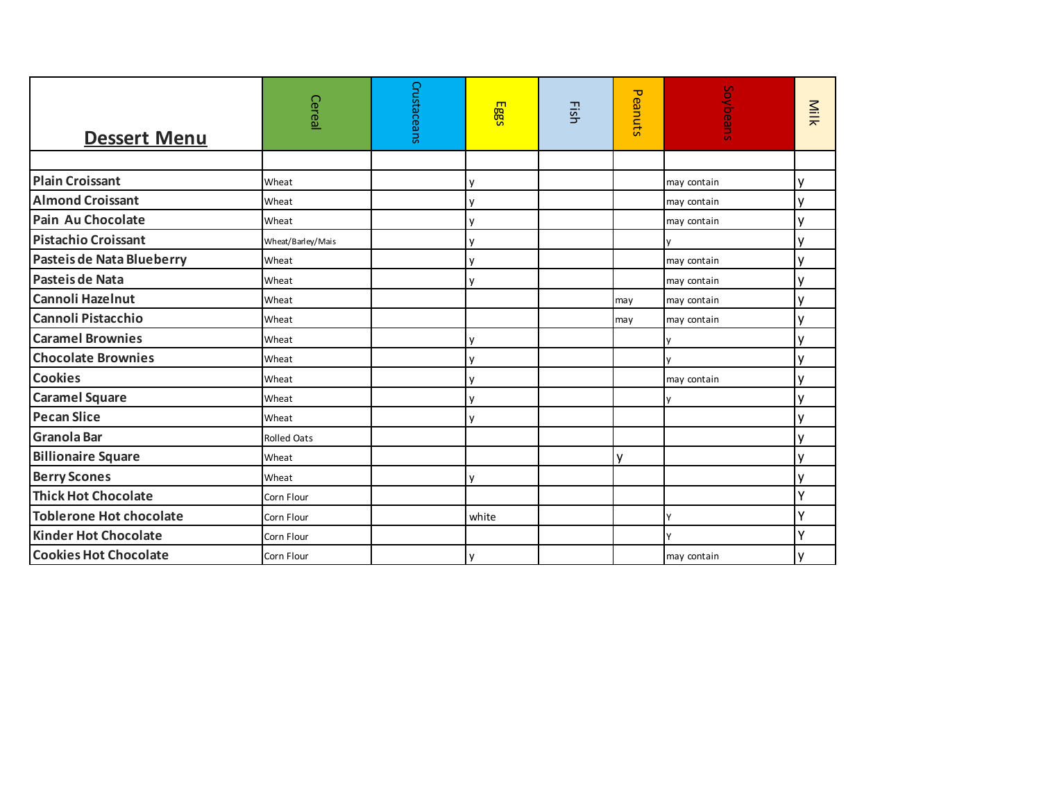| <b>Dessert Menu</b>              | Cereal             | Crustaceans | Eggs  | Eish | Peanuts | Soybeans    | Milk         |
|----------------------------------|--------------------|-------------|-------|------|---------|-------------|--------------|
|                                  |                    |             |       |      |         |             |              |
| <b>Plain Croissant</b>           | Wheat              |             | ٧     |      |         | may contain | у            |
| <b>Almond Croissant</b>          | Wheat              |             | ٧     |      |         | may contain | у            |
| Pain Au Chocolate                | Wheat              |             | y     |      |         | may contain | у            |
| <b>Pistachio Croissant</b>       | Wheat/Barley/Mais  |             | y     |      |         |             | у            |
| <b>Pasteis de Nata Blueberry</b> | Wheat              |             | y     |      |         | may contain | y            |
| Pasteis de Nata                  | Wheat              |             | y     |      |         | may contain | y            |
| <b>Cannoli Hazelnut</b>          | Wheat              |             |       |      | may     | may contain | y            |
| <b>Cannoli Pistacchio</b>        | Wheat              |             |       |      | may     | may contain | у            |
| <b>Caramel Brownies</b>          | Wheat              |             | y     |      |         | ۷           | y            |
| <b>Chocolate Brownies</b>        | Wheat              |             | y     |      |         | v           | у            |
| <b>Cookies</b>                   | Wheat              |             | V     |      |         | may contain | у            |
| <b>Caramel Square</b>            | Wheat              |             | V     |      |         |             | у            |
| <b>Pecan Slice</b>               | Wheat              |             | V     |      |         |             | у            |
| <b>Granola Bar</b>               | <b>Rolled Oats</b> |             |       |      |         |             | у            |
| <b>Billionaire Square</b>        | Wheat              |             |       |      | v       |             | у            |
| <b>Berry Scones</b>              | Wheat              |             | V     |      |         |             | ٧            |
| <b>Thick Hot Chocolate</b>       | Corn Flour         |             |       |      |         |             | v            |
| <b>Toblerone Hot chocolate</b>   | Corn Flour         |             | white |      |         | Υ           | $\checkmark$ |
| <b>Kinder Hot Chocolate</b>      | Corn Flour         |             |       |      |         | Y           | $\checkmark$ |
| <b>Cookies Hot Chocolate</b>     | Corn Flour         |             | y     |      |         | may contain | ۷            |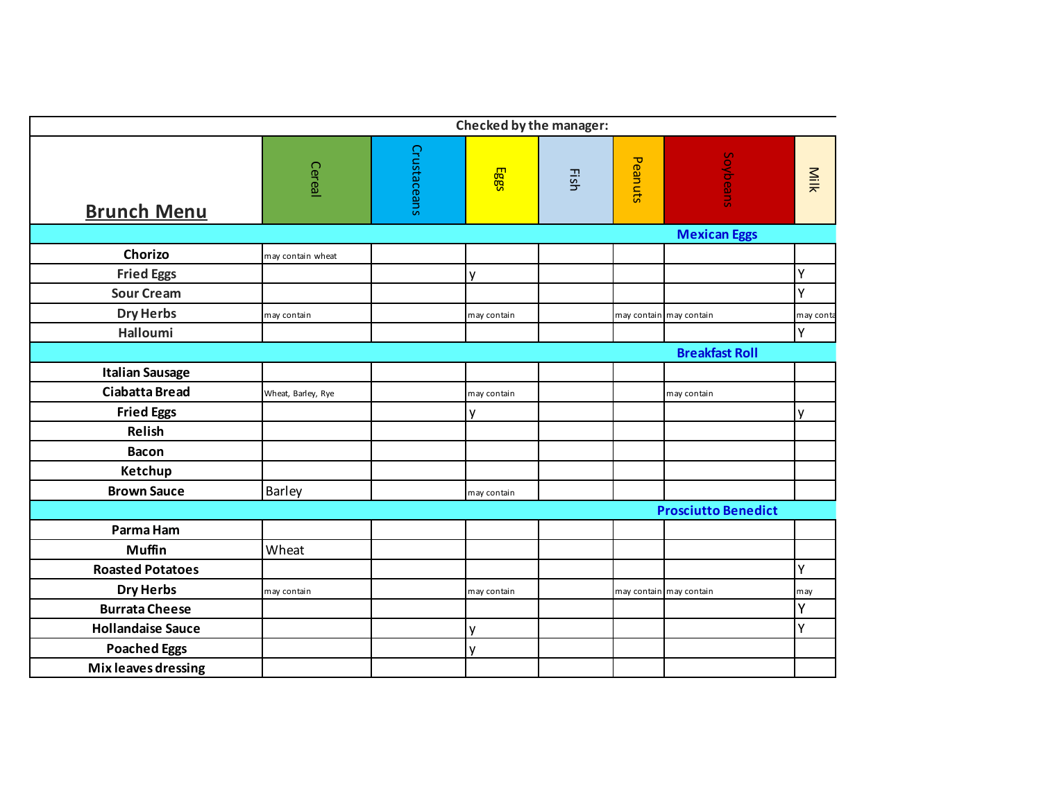|                          |                    |             |             | Checked by the manager: |         |                            |           |
|--------------------------|--------------------|-------------|-------------|-------------------------|---------|----------------------------|-----------|
| <b>Brunch Menu</b>       | Cereal             | Crustaceans | Eggs        | Fish                    | Peanuts | Soybeans                   | Milk      |
|                          |                    |             |             |                         |         | <b>Mexican Eggs</b>        |           |
| Chorizo                  | may contain wheat  |             |             |                         |         |                            |           |
| <b>Fried Eggs</b>        |                    |             | V           |                         |         |                            | Y         |
| <b>Sour Cream</b>        |                    |             |             |                         |         |                            | Y         |
| <b>Dry Herbs</b>         | may contain        |             | may contain |                         |         | may contain may contain    | may conta |
| Halloumi                 |                    |             |             |                         |         |                            | Y.        |
|                          |                    |             |             |                         |         | <b>Breakfast Roll</b>      |           |
| <b>Italian Sausage</b>   |                    |             |             |                         |         |                            |           |
| <b>Ciabatta Bread</b>    | Wheat, Barley, Rye |             | may contain |                         |         | may contain                |           |
| <b>Fried Eggs</b>        |                    |             | y           |                         |         |                            | v         |
| Relish                   |                    |             |             |                         |         |                            |           |
| <b>Bacon</b>             |                    |             |             |                         |         |                            |           |
| Ketchup                  |                    |             |             |                         |         |                            |           |
| <b>Brown Sauce</b>       | Barley             |             | may contain |                         |         |                            |           |
|                          |                    |             |             |                         |         | <b>Prosciutto Benedict</b> |           |
| Parma Ham                |                    |             |             |                         |         |                            |           |
| <b>Muffin</b>            | Wheat              |             |             |                         |         |                            |           |
| <b>Roasted Potatoes</b>  |                    |             |             |                         |         |                            | Y         |
| <b>Dry Herbs</b>         | may contain        |             | may contain |                         |         | may contain may contain    | may       |
| <b>Burrata Cheese</b>    |                    |             |             |                         |         |                            | Y         |
| <b>Hollandaise Sauce</b> |                    |             | y           |                         |         |                            | Ý         |
| <b>Poached Eggs</b>      |                    |             | v           |                         |         |                            |           |
| Mix leaves dressing      |                    |             |             |                         |         |                            |           |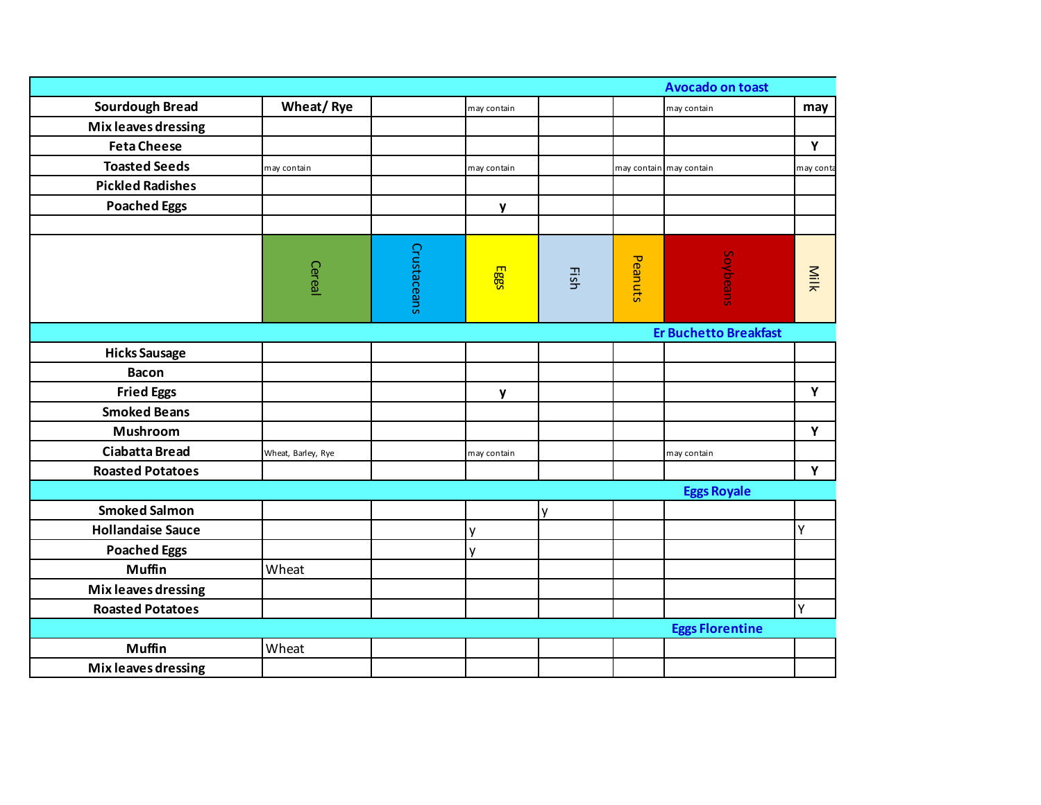|                          |                    |             |              |      |         | <b>Avocado on toast</b>      |           |
|--------------------------|--------------------|-------------|--------------|------|---------|------------------------------|-----------|
| <b>Sourdough Bread</b>   | Wheat/Rye          |             | may contain  |      |         | may contain                  | may       |
| Mix leaves dressing      |                    |             |              |      |         |                              |           |
| <b>Feta Cheese</b>       |                    |             |              |      |         |                              | Y         |
| <b>Toasted Seeds</b>     | may contain        |             | may contain  |      |         | may contain may contain      | may conta |
| <b>Pickled Radishes</b>  |                    |             |              |      |         |                              |           |
| <b>Poached Eggs</b>      |                    |             | y            |      |         |                              |           |
|                          |                    |             |              |      |         |                              |           |
|                          | Cereal             | Crustaceans | Eggs         | Fish | Peanuts | Soybeans                     | Milk      |
|                          |                    |             |              |      |         | <b>Er Buchetto Breakfast</b> |           |
| <b>Hicks Sausage</b>     |                    |             |              |      |         |                              |           |
| <b>Bacon</b>             |                    |             |              |      |         |                              |           |
| <b>Fried Eggs</b>        |                    |             | y            |      |         |                              | Y         |
| <b>Smoked Beans</b>      |                    |             |              |      |         |                              |           |
| Mushroom                 |                    |             |              |      |         |                              | Y         |
| <b>Ciabatta Bread</b>    | Wheat, Barley, Rye |             | may contain  |      |         | may contain                  |           |
| <b>Roasted Potatoes</b>  |                    |             |              |      |         |                              | Y         |
|                          |                    |             |              |      |         | <b>Eggs Royale</b>           |           |
| <b>Smoked Salmon</b>     |                    |             |              | ٧    |         |                              |           |
| <b>Hollandaise Sauce</b> |                    |             | y            |      |         |                              | Υ         |
| <b>Poached Eggs</b>      |                    |             | $\mathsf{V}$ |      |         |                              |           |
| <b>Muffin</b>            | Wheat              |             |              |      |         |                              |           |
| Mix leaves dressing      |                    |             |              |      |         |                              |           |
| <b>Roasted Potatoes</b>  |                    |             |              |      |         |                              | Y         |
|                          |                    |             |              |      |         | <b>Eggs Florentine</b>       |           |
| <b>Muffin</b>            | Wheat              |             |              |      |         |                              |           |
| Mix leaves dressing      |                    |             |              |      |         |                              |           |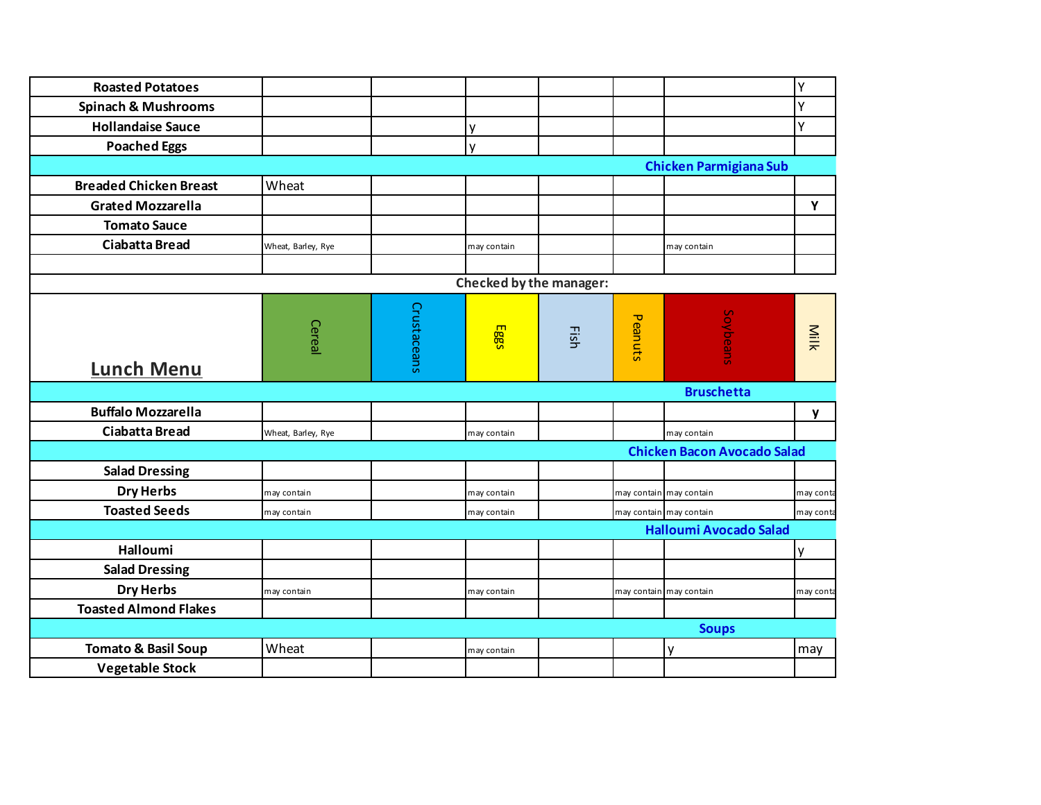| <b>Roasted Potatoes</b>        |                    |             |                         |      |         |                                    | Y         |
|--------------------------------|--------------------|-------------|-------------------------|------|---------|------------------------------------|-----------|
| <b>Spinach &amp; Mushrooms</b> |                    |             |                         |      |         |                                    | Y         |
| <b>Hollandaise Sauce</b>       |                    |             | ٧                       |      |         |                                    | Y         |
| <b>Poached Eggs</b>            |                    |             | ٧                       |      |         |                                    |           |
|                                |                    |             |                         |      |         | <b>Chicken Parmigiana Sub</b>      |           |
| <b>Breaded Chicken Breast</b>  | Wheat              |             |                         |      |         |                                    |           |
| <b>Grated Mozzarella</b>       |                    |             |                         |      |         |                                    | Y         |
| <b>Tomato Sauce</b>            |                    |             |                         |      |         |                                    |           |
| <b>Ciabatta Bread</b>          | Wheat, Barley, Rye |             | may contain             |      |         | may contain                        |           |
|                                |                    |             |                         |      |         |                                    |           |
|                                |                    |             | Checked by the manager: |      |         |                                    |           |
| <b>Lunch Menu</b>              | Cereal             | Crustaceans | Eggs                    | Fish | Peanuts | Soybeans                           | Milk      |
|                                |                    |             |                         |      |         | <b>Bruschetta</b>                  |           |
| <b>Buffalo Mozzarella</b>      |                    |             |                         |      |         |                                    | y         |
| <b>Ciabatta Bread</b>          | Wheat, Barley, Rye |             | may contain             |      |         | may contain                        |           |
|                                |                    |             |                         |      |         | <b>Chicken Bacon Avocado Salad</b> |           |
| <b>Salad Dressing</b>          |                    |             |                         |      |         |                                    |           |
| <b>Dry Herbs</b>               | may contain        |             | may contain             |      |         | may contain may contain            | may conta |
| <b>Toasted Seeds</b>           | may contain        |             | may contain             |      |         | may contain may contain            | may conta |
|                                |                    |             |                         |      |         | <b>Halloumi Avocado Salad</b>      |           |
| Halloumi                       |                    |             |                         |      |         |                                    | ٧         |
| <b>Salad Dressing</b>          |                    |             |                         |      |         |                                    |           |
| <b>Dry Herbs</b>               | may contain        |             | may contain             |      |         | may contain may contain            | may conta |
| <b>Toasted Almond Flakes</b>   |                    |             |                         |      |         |                                    |           |
|                                |                    |             |                         |      |         | <b>Soups</b>                       |           |
| <b>Tomato &amp; Basil Soup</b> | Wheat              |             | may contain             |      |         | y                                  | may       |
| <b>Vegetable Stock</b>         |                    |             |                         |      |         |                                    |           |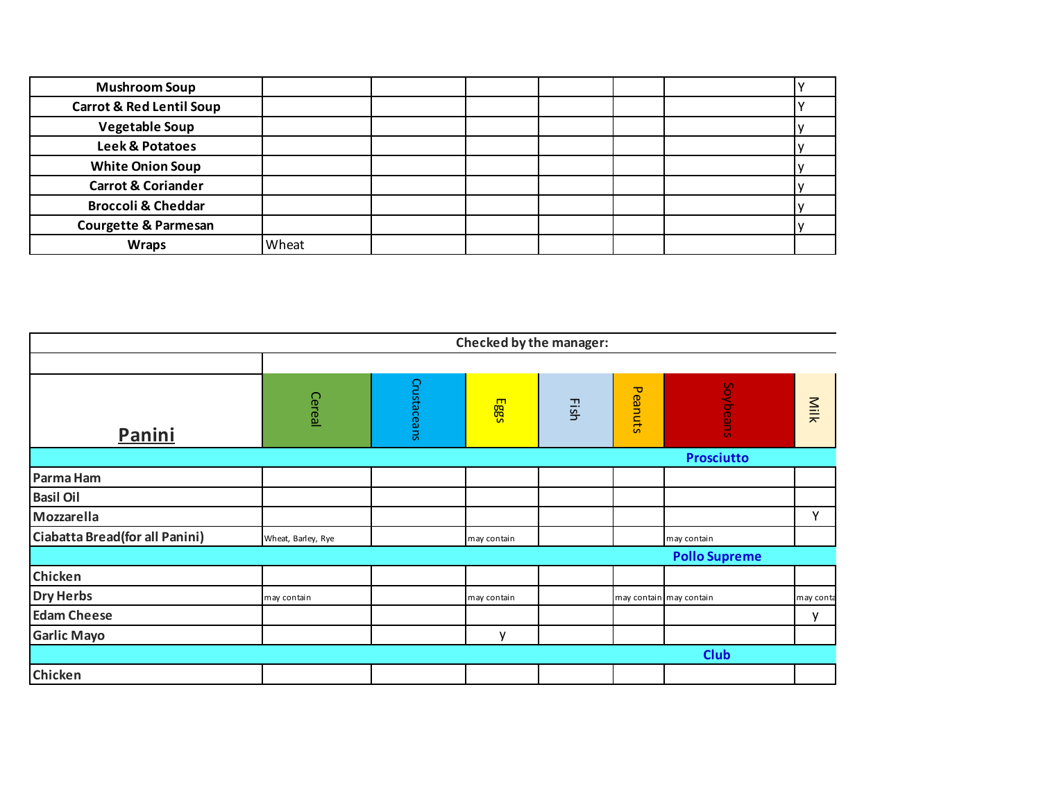| <b>Mushroom Soup</b>                |       |  |  |  |
|-------------------------------------|-------|--|--|--|
| <b>Carrot &amp; Red Lentil Soup</b> |       |  |  |  |
| <b>Vegetable Soup</b>               |       |  |  |  |
| Leek & Potatoes                     |       |  |  |  |
| <b>White Onion Soup</b>             |       |  |  |  |
| <b>Carrot &amp; Coriander</b>       |       |  |  |  |
| <b>Broccoli &amp; Cheddar</b>       |       |  |  |  |
| <b>Courgette &amp; Parmesan</b>     |       |  |  |  |
| <b>Wraps</b>                        | Wheat |  |  |  |

|                                |                    |             | Checked by the manager: |      |         |                         |           |
|--------------------------------|--------------------|-------------|-------------------------|------|---------|-------------------------|-----------|
|                                |                    |             |                         |      |         |                         |           |
| Panini                         | Cereal             | Crustaceans | Eggs                    | Fish | Peanuts | Soybeans                | Milk      |
|                                |                    |             |                         |      |         | <b>Prosciutto</b>       |           |
| Parma Ham                      |                    |             |                         |      |         |                         |           |
| <b>Basil Oil</b>               |                    |             |                         |      |         |                         |           |
| Mozzarella                     |                    |             |                         |      |         |                         | Y         |
| Ciabatta Bread(for all Panini) | Wheat, Barley, Rye |             | may contain             |      |         | may contain             |           |
|                                |                    |             |                         |      |         | <b>Pollo Supreme</b>    |           |
| Chicken                        |                    |             |                         |      |         |                         |           |
| <b>Dry Herbs</b>               | may contain        |             | may contain             |      |         | may contain may contain | may conta |
| <b>Edam Cheese</b>             |                    |             |                         |      |         |                         | v         |
| <b>Garlic Mayo</b>             |                    |             | v                       |      |         |                         |           |
|                                |                    |             |                         |      |         | <b>Club</b>             |           |
| Chicken                        |                    |             |                         |      |         |                         |           |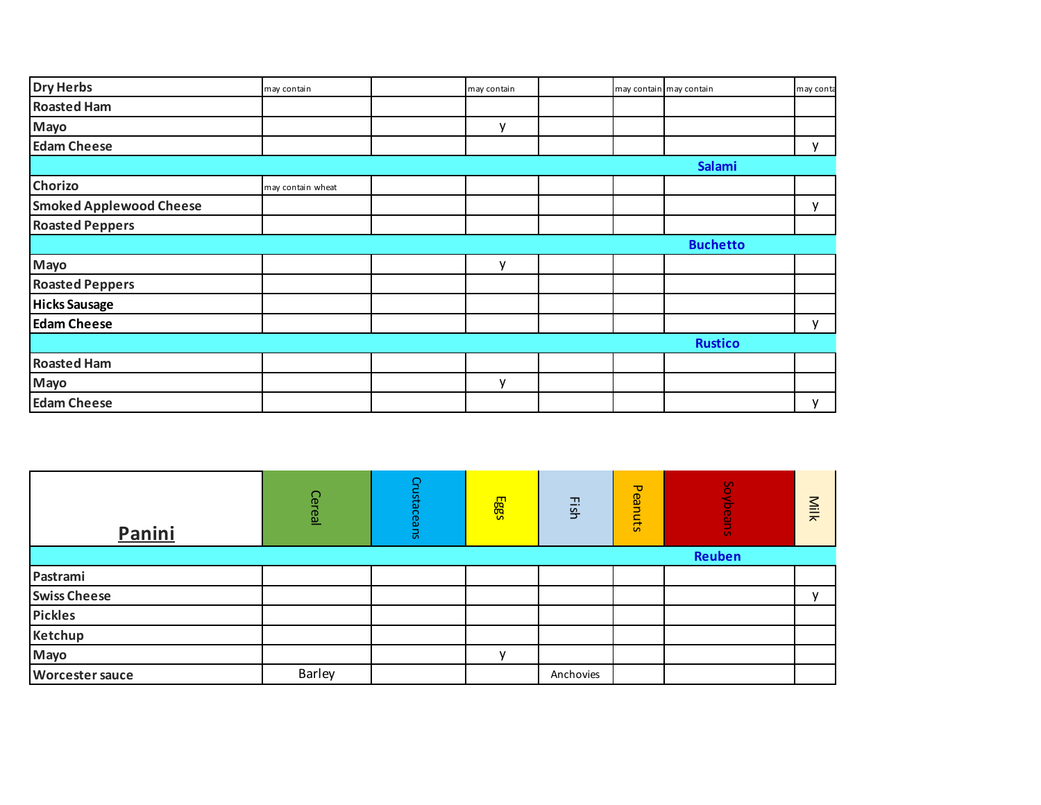| <b>Dry Herbs</b>               | may contain       | may contain  |  | may contain may contain | may conta |
|--------------------------------|-------------------|--------------|--|-------------------------|-----------|
| <b>Roasted Ham</b>             |                   |              |  |                         |           |
| Mayo                           |                   | v            |  |                         |           |
| <b>Edam Cheese</b>             |                   |              |  |                         | ۷         |
|                                |                   |              |  | Salami                  |           |
| Chorizo                        | may contain wheat |              |  |                         |           |
| <b>Smoked Applewood Cheese</b> |                   |              |  |                         | v         |
| <b>Roasted Peppers</b>         |                   |              |  |                         |           |
|                                |                   |              |  | <b>Buchetto</b>         |           |
| Mayo                           |                   | $\mathsf{v}$ |  |                         |           |
| <b>Roasted Peppers</b>         |                   |              |  |                         |           |
| <b>Hicks Sausage</b>           |                   |              |  |                         |           |
| <b>Edam Cheese</b>             |                   |              |  |                         | ۷         |
|                                |                   |              |  | <b>Rustico</b>          |           |
| <b>Roasted Ham</b>             |                   |              |  |                         |           |
| Mayo                           |                   | v            |  |                         |           |
| <b>Edam Cheese</b>             |                   |              |  |                         | у         |

| Panini                 | Cereal        | Crustaceans |   | Fish      | Peanuts | Soybeans | Milk         |
|------------------------|---------------|-------------|---|-----------|---------|----------|--------------|
|                        |               |             |   |           |         | Reuben   |              |
| Pastrami               |               |             |   |           |         |          |              |
| <b>Swiss Cheese</b>    |               |             |   |           |         |          | $\mathbf{v}$ |
| <b>Pickles</b>         |               |             |   |           |         |          |              |
| Ketchup                |               |             |   |           |         |          |              |
| Mayo                   |               |             | v |           |         |          |              |
| <b>Worcester sauce</b> | <b>Barley</b> |             |   | Anchovies |         |          |              |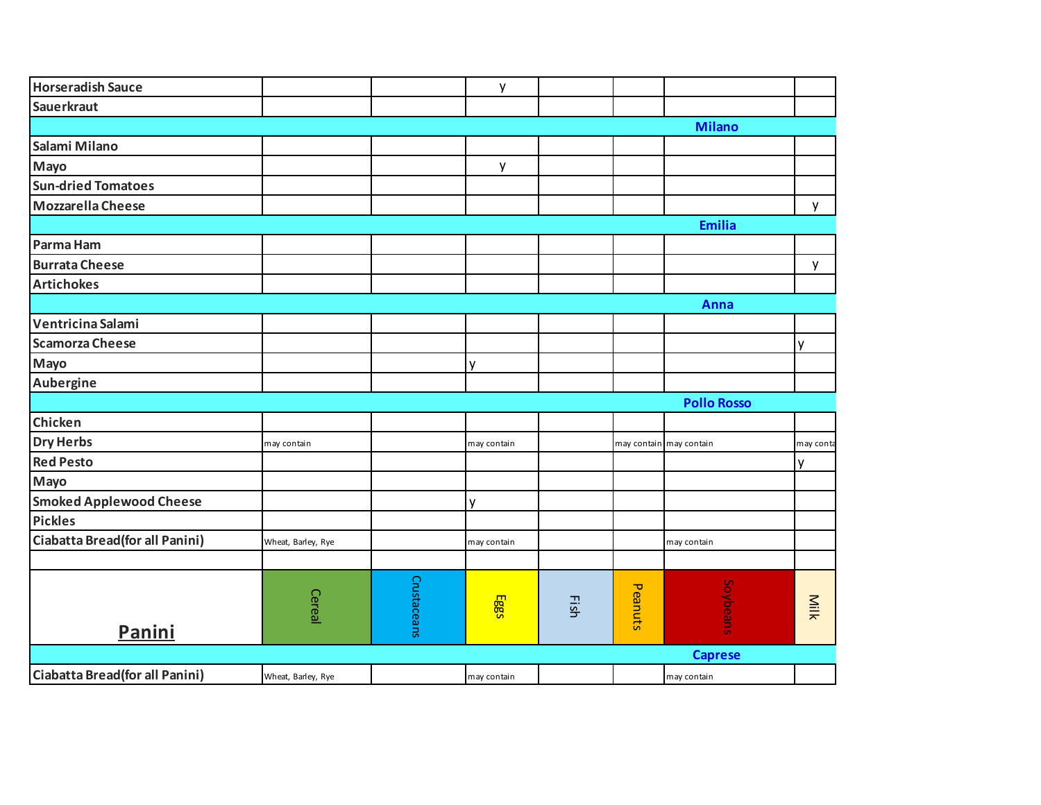| <b>Horseradish Sauce</b>       |                    |             | у           |      |         |                         |           |
|--------------------------------|--------------------|-------------|-------------|------|---------|-------------------------|-----------|
| <b>Sauerkraut</b>              |                    |             |             |      |         |                         |           |
|                                |                    |             |             |      |         | <b>Milano</b>           |           |
| Salami Milano                  |                    |             |             |      |         |                         |           |
| Mayo                           |                    |             | y           |      |         |                         |           |
| <b>Sun-dried Tomatoes</b>      |                    |             |             |      |         |                         |           |
| <b>Mozzarella Cheese</b>       |                    |             |             |      |         |                         | y         |
|                                |                    |             |             |      |         | <b>Emilia</b>           |           |
| Parma Ham                      |                    |             |             |      |         |                         |           |
| <b>Burrata Cheese</b>          |                    |             |             |      |         |                         | y         |
| <b>Artichokes</b>              |                    |             |             |      |         |                         |           |
|                                |                    |             |             |      |         | Anna                    |           |
| Ventricina Salami              |                    |             |             |      |         |                         |           |
| <b>Scamorza Cheese</b>         |                    |             |             |      |         |                         | y         |
| Mayo                           |                    |             | ٧           |      |         |                         |           |
| Aubergine                      |                    |             |             |      |         |                         |           |
|                                |                    |             |             |      |         | <b>Pollo Rosso</b>      |           |
| Chicken                        |                    |             |             |      |         |                         |           |
| <b>Dry Herbs</b>               | may contain        |             | may contain |      |         | may contain may contain | may conta |
| <b>Red Pesto</b>               |                    |             |             |      |         |                         | y         |
| Mayo                           |                    |             |             |      |         |                         |           |
| <b>Smoked Applewood Cheese</b> |                    |             | ٧           |      |         |                         |           |
| <b>Pickles</b>                 |                    |             |             |      |         |                         |           |
| Ciabatta Bread(for all Panini) | Wheat, Barley, Rye |             | may contain |      |         | may contain             |           |
|                                |                    |             |             |      |         |                         |           |
|                                |                    |             |             |      |         |                         |           |
|                                | Cereal             |             | Eggs        | Fish | Peanuts | Soybeans                | Milk      |
| Panini                         |                    | Crustaceans |             |      |         |                         |           |
|                                |                    |             |             |      |         | <b>Caprese</b>          |           |
| Ciabatta Bread(for all Panini) | Wheat, Barley, Rye |             | may contain |      |         | may contain             |           |
|                                |                    |             |             |      |         |                         |           |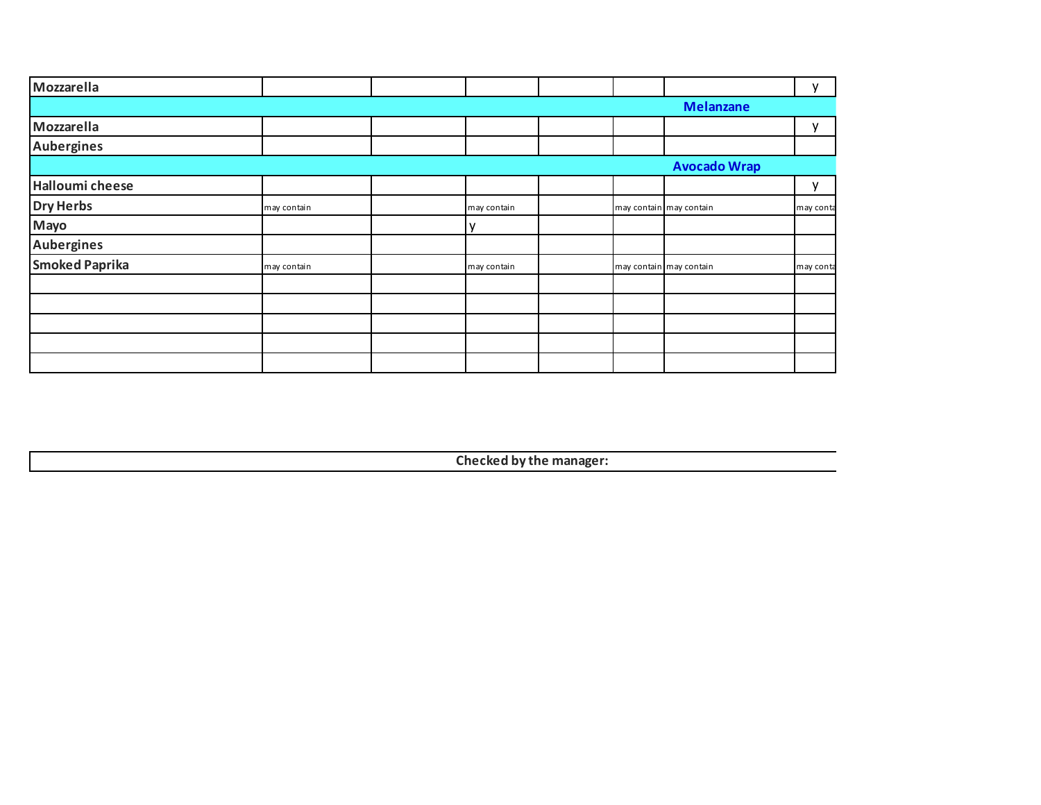| Mozzarella             |             |             |  |                         | v            |
|------------------------|-------------|-------------|--|-------------------------|--------------|
|                        |             |             |  | <b>Melanzane</b>        |              |
| Mozzarella             |             |             |  |                         | $\mathsf{v}$ |
| <b>Aubergines</b>      |             |             |  |                         |              |
|                        |             |             |  | <b>Avocado Wrap</b>     |              |
| <b>Halloumi cheese</b> |             |             |  |                         | ۷            |
| <b>Dry Herbs</b>       | may contain | may contain |  | may contain may contain | may conta    |
| Mayo                   |             |             |  |                         |              |
| <b>Aubergines</b>      |             |             |  |                         |              |
| <b>Smoked Paprika</b>  | may contain | may contain |  | may contain may contain | may conta    |
|                        |             |             |  |                         |              |
|                        |             |             |  |                         |              |
|                        |             |             |  |                         |              |
|                        |             |             |  |                         |              |
|                        |             |             |  |                         |              |

**Checked by the manager:**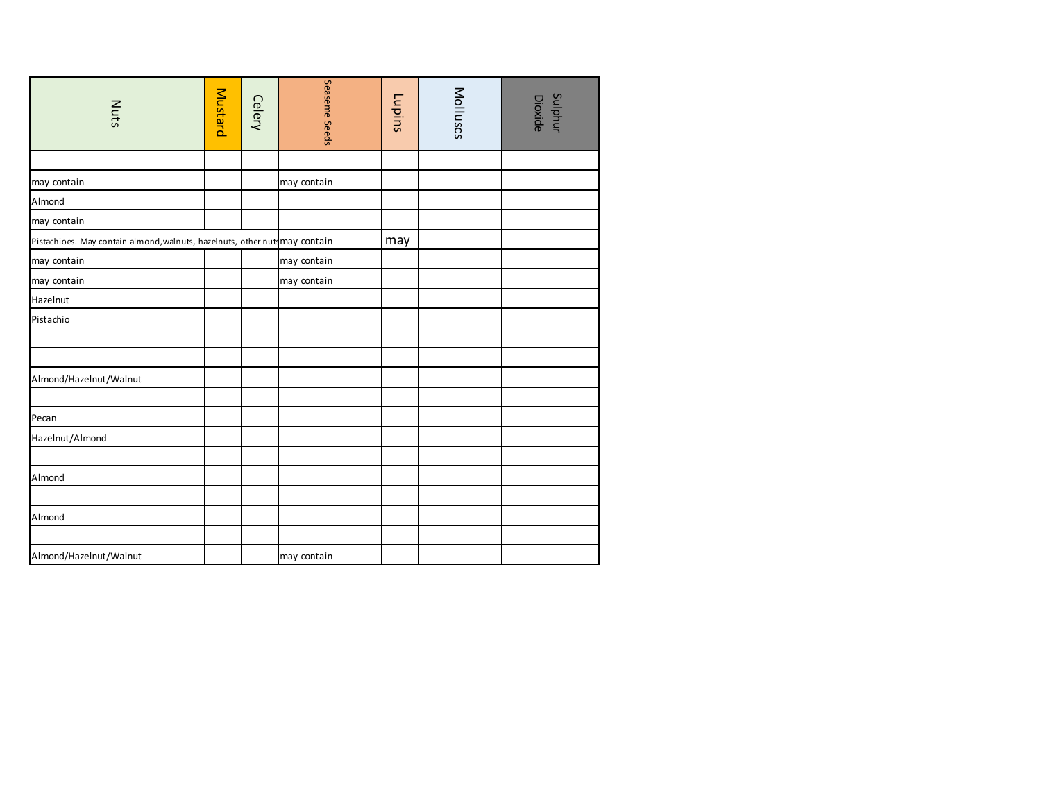| Nuts                                                                       | Mustard | <b>Celery</b> | Seaseme Seeds | Lupins | Molluscs | <b>Sulphur</b><br>Dioxide |
|----------------------------------------------------------------------------|---------|---------------|---------------|--------|----------|---------------------------|
|                                                                            |         |               |               |        |          |                           |
| may contain                                                                |         |               | may contain   |        |          |                           |
| Almond                                                                     |         |               |               |        |          |                           |
| may contain                                                                |         |               |               |        |          |                           |
| Pistachioes. May contain almond, walnuts, hazelnuts, other nut may contain |         |               |               | may    |          |                           |
| may contain                                                                |         |               | may contain   |        |          |                           |
| may contain                                                                |         |               | may contain   |        |          |                           |
| Hazelnut                                                                   |         |               |               |        |          |                           |
| Pistachio                                                                  |         |               |               |        |          |                           |
|                                                                            |         |               |               |        |          |                           |
|                                                                            |         |               |               |        |          |                           |
| Almond/Hazelnut/Walnut                                                     |         |               |               |        |          |                           |
|                                                                            |         |               |               |        |          |                           |
| Pecan                                                                      |         |               |               |        |          |                           |
| Hazelnut/Almond                                                            |         |               |               |        |          |                           |
|                                                                            |         |               |               |        |          |                           |
| Almond                                                                     |         |               |               |        |          |                           |
|                                                                            |         |               |               |        |          |                           |
| Almond                                                                     |         |               |               |        |          |                           |
|                                                                            |         |               |               |        |          |                           |
| Almond/Hazelnut/Walnut                                                     |         |               | may contain   |        |          |                           |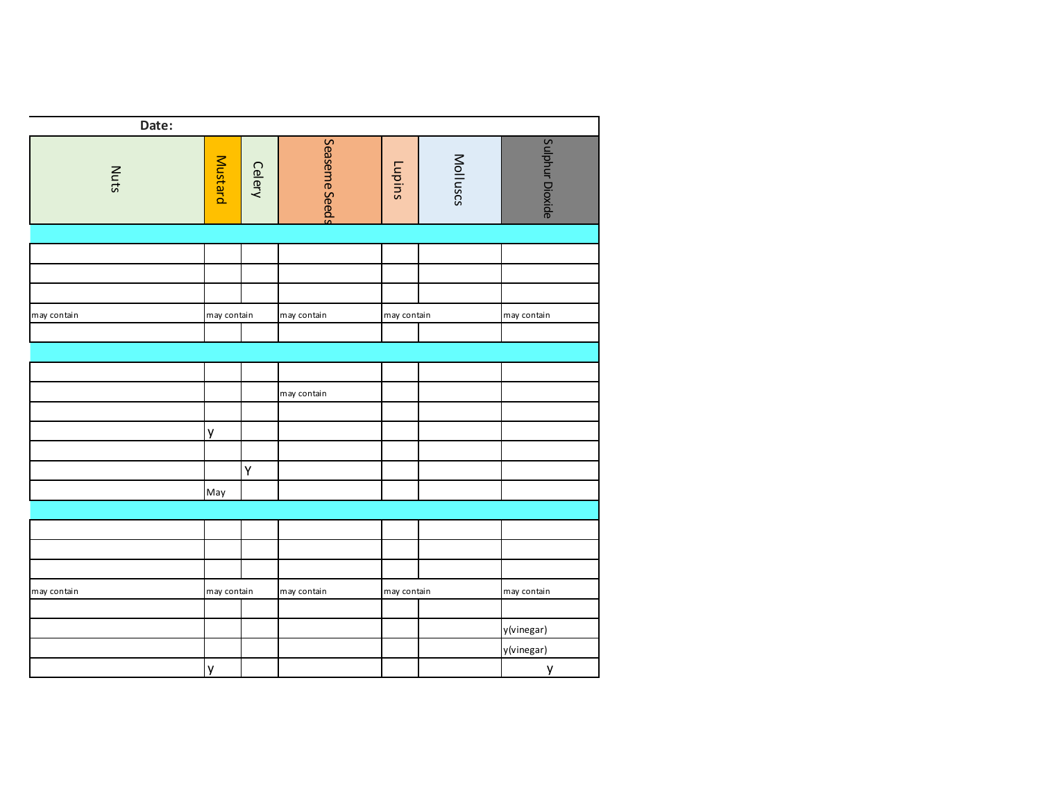| Date:       |             |               |               |               |          |                 |
|-------------|-------------|---------------|---------------|---------------|----------|-----------------|
| <b>Nuts</b> | Mustard     | <b>Celery</b> | Seaseme Seeds | <b>Lupins</b> | Molluscs | Sulphur Dioxide |
|             |             |               |               |               |          |                 |
|             |             |               |               |               |          |                 |
|             |             |               |               |               |          |                 |
|             |             |               |               |               |          |                 |
| may contain | may contain |               | may contain   | may contain   |          | may contain     |
|             |             |               |               |               |          |                 |
|             |             |               |               |               |          |                 |
|             |             |               |               |               |          |                 |
|             |             |               | may contain   |               |          |                 |
|             |             |               |               |               |          |                 |
|             | y           |               |               |               |          |                 |
|             |             |               |               |               |          |                 |
|             |             | Y             |               |               |          |                 |
|             | May         |               |               |               |          |                 |
|             |             |               |               |               |          |                 |
|             |             |               |               |               |          |                 |
|             |             |               |               |               |          |                 |
|             |             |               |               |               |          |                 |
| may contain | may contain |               | may contain   | may contain   |          | may contain     |
|             |             |               |               |               |          |                 |
|             |             |               |               |               |          | y(vinegar)      |
|             |             |               |               |               |          | y(vinegar)      |
|             | y           |               |               |               |          | y               |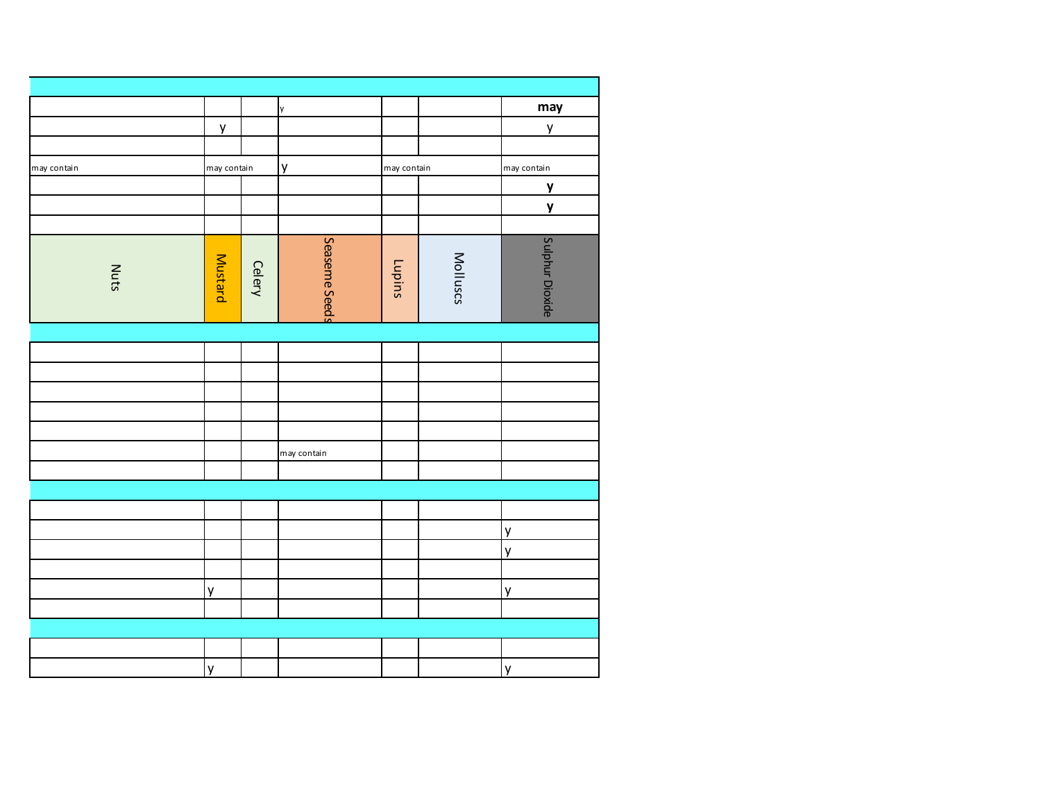|             |                |               | y             |             |          | may             |
|-------------|----------------|---------------|---------------|-------------|----------|-----------------|
|             | y              |               |               |             |          | y               |
|             |                |               |               |             |          |                 |
| may contain | may contain    |               | y             | may contain |          | may contain     |
|             |                |               |               |             |          | $\mathbf y$     |
|             |                |               |               |             |          | $\mathbf{y}$    |
|             |                |               |               |             |          |                 |
| <b>Nuts</b> | <b>Mustard</b> | <b>Celery</b> | Seaseme Seeds | Lupins      | Molluscs | Sulphur Dioxide |
|             |                |               |               |             |          |                 |
|             |                |               |               |             |          |                 |
|             |                |               |               |             |          |                 |
|             |                |               |               |             |          |                 |
|             |                |               |               |             |          |                 |
|             |                |               |               |             |          |                 |
|             |                |               | may contain   |             |          |                 |
|             |                |               |               |             |          |                 |
|             |                |               |               |             |          |                 |
|             |                |               |               |             |          |                 |
|             |                |               |               |             |          | y               |
|             |                |               |               |             |          | y               |
|             |                |               |               |             |          |                 |
|             | y              |               |               |             |          | y               |
|             |                |               |               |             |          |                 |
|             |                |               |               |             |          |                 |
|             |                |               |               |             |          |                 |
|             | y              |               |               |             |          | y               |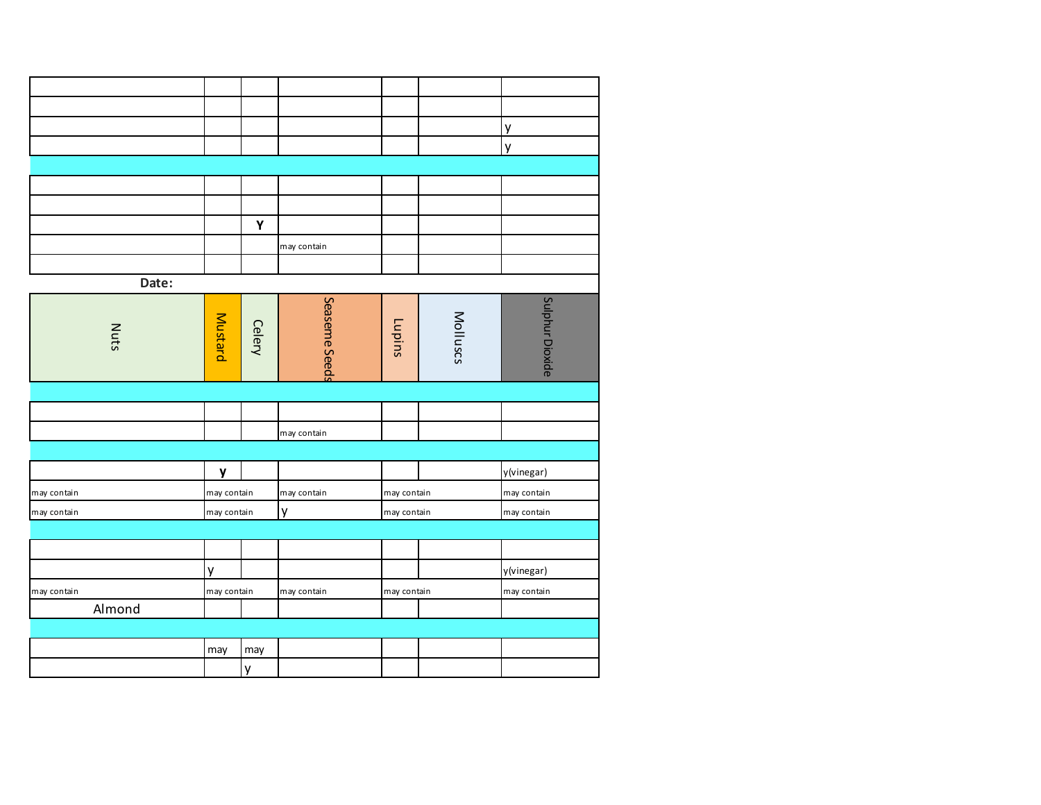|             |        |              |               |               |               |          | y               |
|-------------|--------|--------------|---------------|---------------|---------------|----------|-----------------|
|             |        |              |               |               |               |          | y               |
|             |        |              |               |               |               |          |                 |
|             |        |              |               |               |               |          |                 |
|             |        |              |               |               |               |          |                 |
|             |        |              | $\mathbf Y$   |               |               |          |                 |
|             |        |              |               | may contain   |               |          |                 |
|             |        |              |               |               |               |          |                 |
|             | Date:  |              |               |               |               |          |                 |
|             | Nuts   | Mustard      | <b>Celery</b> | Seaseme Seeds | <b>Lupins</b> | Molluscs | Sulphur Dioxide |
|             |        |              |               |               |               |          |                 |
|             |        |              |               |               |               |          |                 |
|             |        |              |               | may contain   |               |          |                 |
|             |        |              |               |               |               |          |                 |
|             |        | $\mathbf{y}$ |               |               |               |          | y(vinegar)      |
| may contain |        | may contain  |               | may contain   | may contain   |          | may contain     |
| may contain |        | may contain  |               | y             | may contain   |          | may contain     |
|             |        |              |               |               |               |          |                 |
|             |        |              |               |               |               |          |                 |
|             |        | y            |               |               |               |          | y(vinegar)      |
| may contain |        | may contain  |               | may contain   | may contain   |          | may contain     |
|             | Almond |              |               |               |               |          |                 |
|             |        |              |               |               |               |          |                 |
|             |        | may          | may           |               |               |          |                 |
|             |        |              | y             |               |               |          |                 |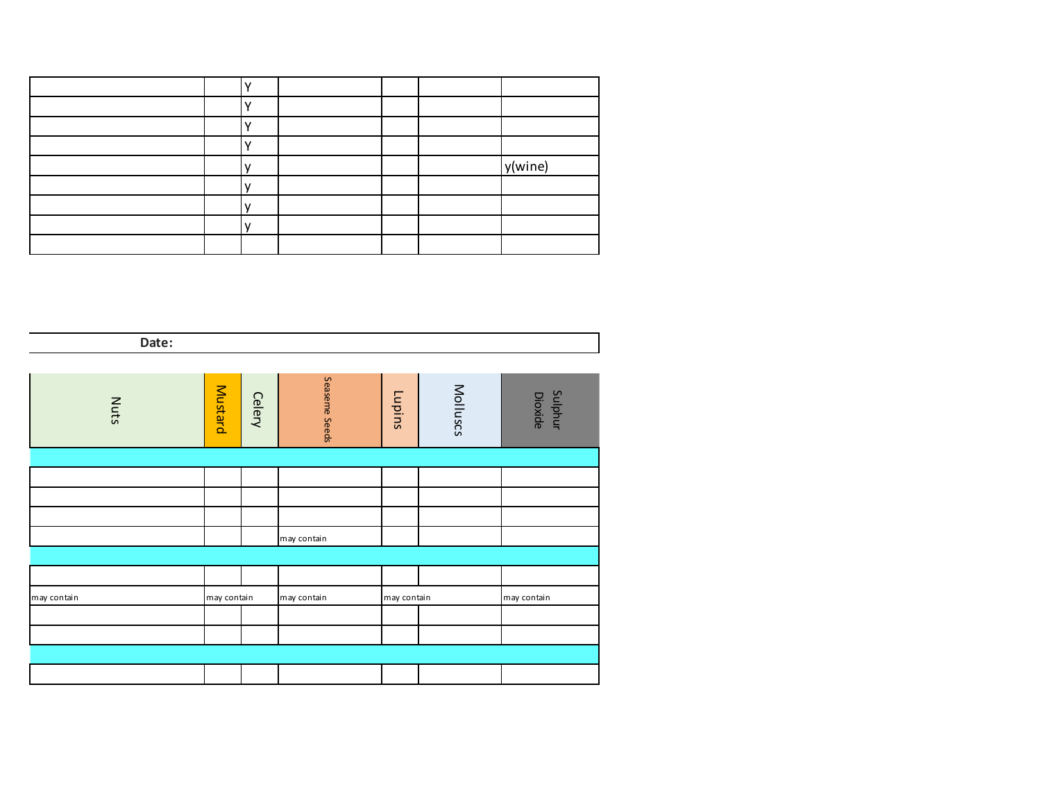|  |  | y(wine) |
|--|--|---------|
|  |  |         |
|  |  |         |
|  |  |         |
|  |  |         |

**Checked by the manager: Date:**

| Nuts        | Mustard     | <b>Celery</b> | Seaseme Seeds | Lupins      | Molluscs | Sulphur<br>Dioxide |  |
|-------------|-------------|---------------|---------------|-------------|----------|--------------------|--|
|             |             |               |               |             |          |                    |  |
|             |             |               |               |             |          |                    |  |
|             |             |               |               |             |          |                    |  |
|             |             |               |               |             |          |                    |  |
|             |             |               | may contain   |             |          |                    |  |
|             |             |               |               |             |          |                    |  |
|             |             |               |               |             |          |                    |  |
| may contain | may contain |               | may contain   | may contain |          | may contain        |  |
|             |             |               |               |             |          |                    |  |
|             |             |               |               |             |          |                    |  |
|             |             |               |               |             |          |                    |  |
|             |             |               |               |             |          |                    |  |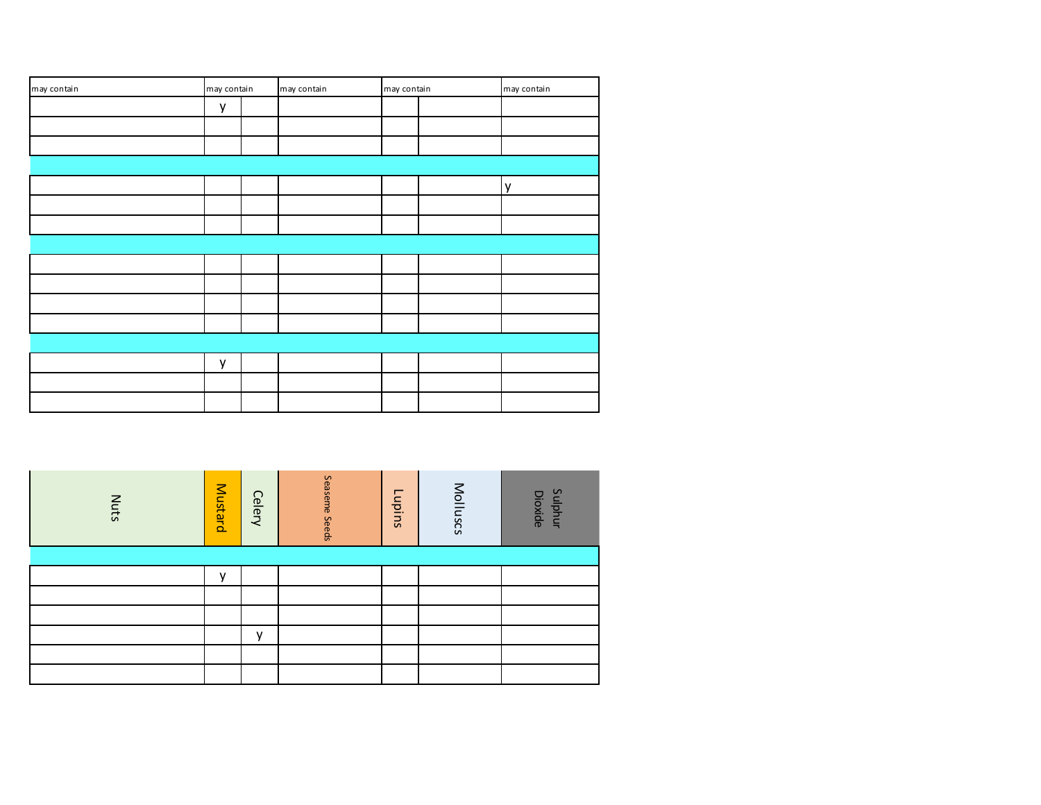| may contain | may contain |  | may contain | may contain |  | may contain |  |  |  |
|-------------|-------------|--|-------------|-------------|--|-------------|--|--|--|
|             | y           |  |             |             |  |             |  |  |  |
|             |             |  |             |             |  |             |  |  |  |
|             |             |  |             |             |  |             |  |  |  |
|             |             |  |             |             |  |             |  |  |  |
|             |             |  |             |             |  | y           |  |  |  |
|             |             |  |             |             |  |             |  |  |  |
|             |             |  |             |             |  |             |  |  |  |
|             |             |  |             |             |  |             |  |  |  |
|             |             |  |             |             |  |             |  |  |  |
|             |             |  |             |             |  |             |  |  |  |
|             |             |  |             |             |  |             |  |  |  |
|             |             |  |             |             |  |             |  |  |  |
|             |             |  |             |             |  |             |  |  |  |
|             | у           |  |             |             |  |             |  |  |  |
|             |             |  |             |             |  |             |  |  |  |
|             |             |  |             |             |  |             |  |  |  |

| <b>Nuts</b> | Mustard      | <b>Celery</b> | Seaseme Seeds | Lupins | Molluscs | Sulphur<br><b>Dioxide</b> |
|-------------|--------------|---------------|---------------|--------|----------|---------------------------|
|             |              |               |               |        |          |                           |
|             | $\mathsf{v}$ |               |               |        |          |                           |
|             |              |               |               |        |          |                           |
|             |              |               |               |        |          |                           |
|             |              | $\mathsf{v}$  |               |        |          |                           |
|             |              |               |               |        |          |                           |
|             |              |               |               |        |          |                           |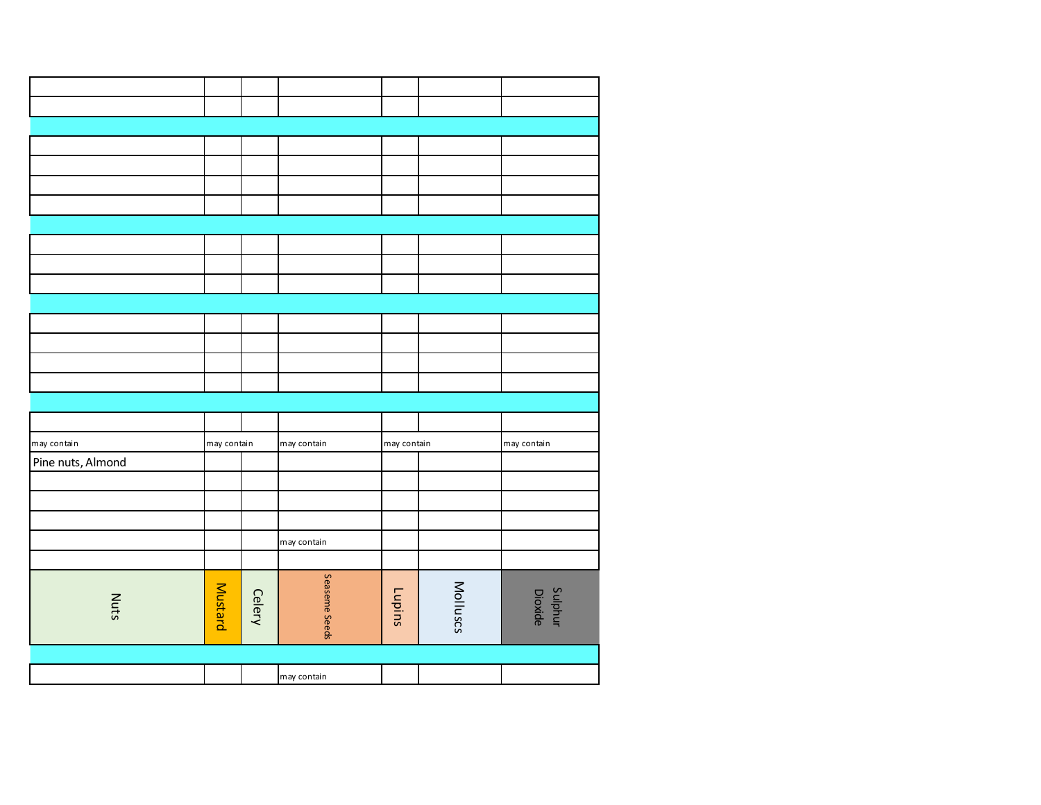|                   |                |               | may contain   |             |          |                           |
|-------------------|----------------|---------------|---------------|-------------|----------|---------------------------|
| Nuts              | <b>Mustard</b> | <b>Celery</b> | Seaseme Seeds | Lupins      | Molluscs | <b>Sulphur</b><br>Dioxide |
|                   |                |               |               |             |          |                           |
|                   |                |               | may contain   |             |          |                           |
|                   |                |               |               |             |          |                           |
|                   |                |               |               |             |          |                           |
| Pine nuts, Almond |                |               |               |             |          |                           |
| may contain       | may contain    |               | may contain   | may contain |          | may contain               |
|                   |                |               |               |             |          |                           |
|                   |                |               |               |             |          |                           |
|                   |                |               |               |             |          |                           |
|                   |                |               |               |             |          |                           |
|                   |                |               |               |             |          |                           |
|                   |                |               |               |             |          |                           |
|                   |                |               |               |             |          |                           |
|                   |                |               |               |             |          |                           |
|                   |                |               |               |             |          |                           |
|                   |                |               |               |             |          |                           |
|                   |                |               |               |             |          |                           |
|                   |                |               |               |             |          |                           |
|                   |                |               |               |             |          |                           |
|                   |                |               |               |             |          |                           |
|                   |                |               |               |             |          |                           |
|                   |                |               |               |             |          |                           |